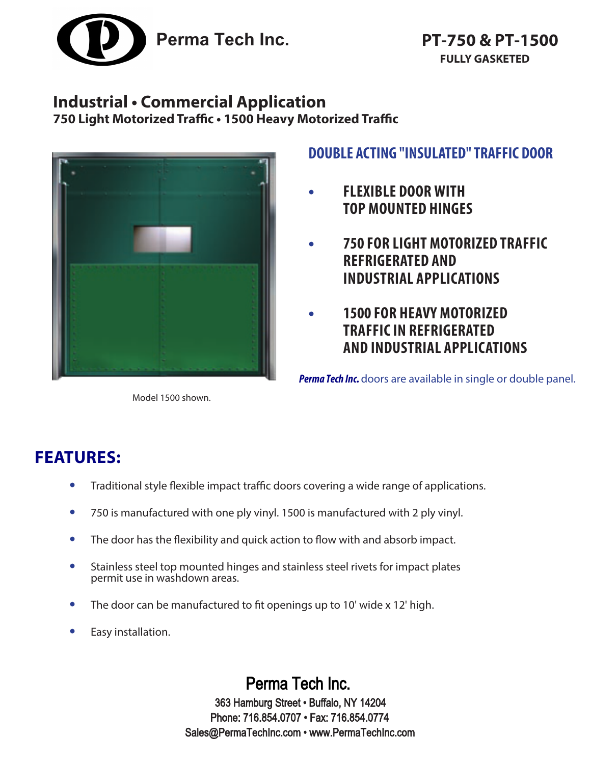

## **Industrial • Commercial Application**

**750 Light Motorized Traffic • 1500 Heavy Motorized Traffic**



Model 1500 shown.

## **DOUBLE ACTING "INSULATED" TRAFFIC DOOR**

- **• FLEXIBLE DOOR WITH TOP MOUNTED HINGES**
- **• 750 FOR LIGHT MOTORIZED TRAFFIC REFRIGERATED AND INDUSTRIAL APPLICATIONS**
- **• 1500 FOR HEAVY MOTORIZED TRAFFIC IN REFRIGERATED AND INDUSTRIAL APPLICATIONS**

**Perma Tech Inc.** doors are available in single or double panel.

# **FEATURES:**

- **•** Traditional style flexible impact traffic doors covering a wide range of applications.
- **•** 750 is manufactured with one ply vinyl. 1500 is manufactured with 2 ply vinyl.
- **•** The door has the flexibility and quick action to flow with and absorb impact.
- **•** Stainless steel top mounted hinges and stainless steel rivets for impact plates permit use in washdown areas.
- **•** The door can be manufactured to fit openings up to 10' wide x 12' high.
- **•** Easy installation.

Perma Tech Inc. 363 Hamburg Street • Buffalo, NY 14204 Phone: 716.854.0707 • Fax: 716.854.0774 Sales@PermaTechInc.com • www.PermaTechInc.com